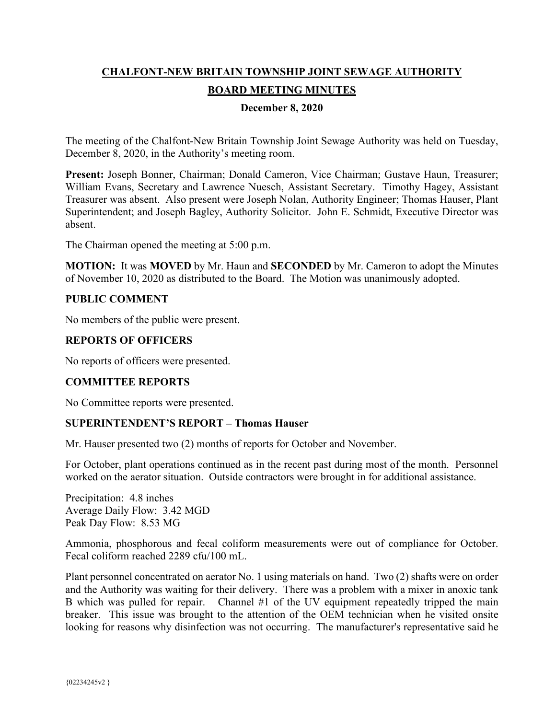# **CHALFONT-NEW BRITAIN TOWNSHIP JOINT SEWAGE AUTHORITY BOARD MEETING MINUTES**

### **December 8, 2020**

The meeting of the Chalfont-New Britain Township Joint Sewage Authority was held on Tuesday, December 8, 2020, in the Authority's meeting room.

**Present:** Joseph Bonner, Chairman; Donald Cameron, Vice Chairman; Gustave Haun, Treasurer; William Evans, Secretary and Lawrence Nuesch, Assistant Secretary. Timothy Hagey, Assistant Treasurer was absent. Also present were Joseph Nolan, Authority Engineer; Thomas Hauser, Plant Superintendent; and Joseph Bagley, Authority Solicitor. John E. Schmidt, Executive Director was absent.

The Chairman opened the meeting at 5:00 p.m.

**MOTION:** It was **MOVED** by Mr. Haun and **SECONDED** by Mr. Cameron to adopt the Minutes of November 10, 2020 as distributed to the Board. The Motion was unanimously adopted.

### **PUBLIC COMMENT**

No members of the public were present.

### **REPORTS OF OFFICERS**

No reports of officers were presented.

# **COMMITTEE REPORTS**

No Committee reports were presented.

### **SUPERINTENDENT'S REPORT – Thomas Hauser**

Mr. Hauser presented two (2) months of reports for October and November.

For October, plant operations continued as in the recent past during most of the month. Personnel worked on the aerator situation. Outside contractors were brought in for additional assistance.

Precipitation: 4.8 inches Average Daily Flow: 3.42 MGD Peak Day Flow: 8.53 MG

Ammonia, phosphorous and fecal coliform measurements were out of compliance for October. Fecal coliform reached 2289 cfu/100 mL.

Plant personnel concentrated on aerator No. 1 using materials on hand. Two (2) shafts were on order and the Authority was waiting for their delivery. There was a problem with a mixer in anoxic tank B which was pulled for repair. Channel #1 of the UV equipment repeatedly tripped the main breaker. This issue was brought to the attention of the OEM technician when he visited onsite looking for reasons why disinfection was not occurring. The manufacturer's representative said he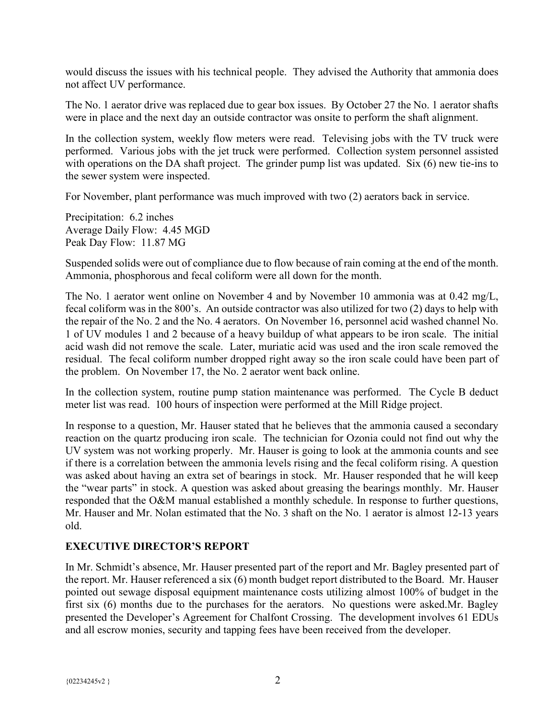would discuss the issues with his technical people. They advised the Authority that ammonia does not affect UV performance.

The No. 1 aerator drive was replaced due to gear box issues. By October 27 the No. 1 aerator shafts were in place and the next day an outside contractor was onsite to perform the shaft alignment.

In the collection system, weekly flow meters were read. Televising jobs with the TV truck were performed. Various jobs with the jet truck were performed. Collection system personnel assisted with operations on the DA shaft project. The grinder pump list was updated. Six (6) new tie-ins to the sewer system were inspected.

For November, plant performance was much improved with two (2) aerators back in service.

Precipitation: 6.2 inches Average Daily Flow: 4.45 MGD Peak Day Flow: 11.87 MG

Suspended solids were out of compliance due to flow because of rain coming at the end of the month. Ammonia, phosphorous and fecal coliform were all down for the month.

The No. 1 aerator went online on November 4 and by November 10 ammonia was at 0.42 mg/L, fecal coliform was in the 800's. An outside contractor was also utilized for two (2) days to help with the repair of the No. 2 and the No. 4 aerators. On November 16, personnel acid washed channel No. 1 of UV modules 1 and 2 because of a heavy buildup of what appears to be iron scale. The initial acid wash did not remove the scale. Later, muriatic acid was used and the iron scale removed the residual. The fecal coliform number dropped right away so the iron scale could have been part of the problem. On November 17, the No. 2 aerator went back online.

In the collection system, routine pump station maintenance was performed. The Cycle B deduct meter list was read. 100 hours of inspection were performed at the Mill Ridge project.

In response to a question, Mr. Hauser stated that he believes that the ammonia caused a secondary reaction on the quartz producing iron scale. The technician for Ozonia could not find out why the UV system was not working properly. Mr. Hauser is going to look at the ammonia counts and see if there is a correlation between the ammonia levels rising and the fecal coliform rising. A question was asked about having an extra set of bearings in stock. Mr. Hauser responded that he will keep the "wear parts" in stock. A question was asked about greasing the bearings monthly. Mr. Hauser responded that the O&M manual established a monthly schedule. In response to further questions, Mr. Hauser and Mr. Nolan estimated that the No. 3 shaft on the No. 1 aerator is almost 12-13 years old.

# **EXECUTIVE DIRECTOR'S REPORT**

In Mr. Schmidt's absence, Mr. Hauser presented part of the report and Mr. Bagley presented part of the report. Mr. Hauser referenced a six (6) month budget report distributed to the Board. Mr. Hauser pointed out sewage disposal equipment maintenance costs utilizing almost 100% of budget in the first six (6) months due to the purchases for the aerators. No questions were asked.Mr. Bagley presented the Developer's Agreement for Chalfont Crossing. The development involves 61 EDUs and all escrow monies, security and tapping fees have been received from the developer.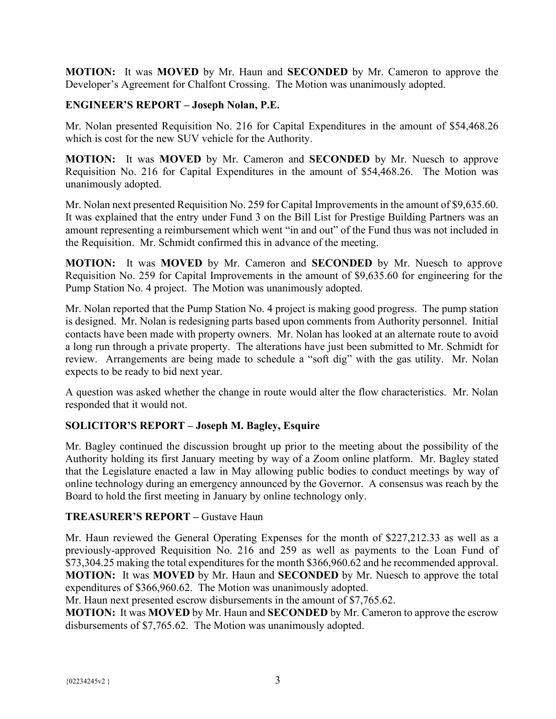**MOTION:** It was **MOVED** by Mr. Haun and **SECONDED** by Mr. Cameron to approve the Developer's Agreement for Chalfont Crossing. The Motion was unanimously adopted.

## **ENGINEER'S REPORT – Joseph Nolan, P.E.**

Mr. Nolan presented Requisition No. 216 for Capital Expenditures in the amount of \$54,468.26 which is cost for the new SUV vehicle for the Authority.

**MOTION:** It was **MOVED** by Mr. Cameron and **SECONDED** by Mr. Nuesch to approve Requisition No. 216 for Capital Expenditures in the amount of \$54,468.26. The Motion was unanimously adopted.

Mr. Nolan next presented Requisition No. 259 for Capital Improvements in the amount of \$9,635.60. It was explained that the entry under Fund 3 on the Bill List for Prestige Building Partners was an amount representing a reimbursement which went "in and out" of the Fund thus was not included in the Requisition. Mr. Schmidt confirmed this in advance of the meeting.

**MOTION:** It was **MOVED** by Mr. Cameron and **SECONDED** by Mr. Nuesch to approve Requisition No. 259 for Capital Improvements in the amount of \$9,635.60 for engineering for the Pump Station No. 4 project. The Motion was unanimously adopted.

Mr. Nolan reported that the Pump Station No. 4 project is making good progress. The pump station is designed. Mr. Nolan is redesigning parts based upon comments from Authority personnel. Initial contacts have been made with property owners. Mr. Nolan has looked at an alternate route to avoid a long run through a private property. The alterations have just been submitted to Mr. Schmidt for review. Arrangements are being made to schedule a "soft dig" with the gas utility. Mr. Nolan expects to be ready to bid next year.

A question was asked whether the change in route would alter the flow characteristics. Mr. Nolan responded that it would not.

# **SOLICITOR'S REPORT – Joseph M. Bagley, Esquire**

Mr. Bagley continued the discussion brought up prior to the meeting about the possibility of the Authority holding its first January meeting by way of a Zoom online platform. Mr. Bagley stated that the Legislature enacted a law in May allowing public bodies to conduct meetings by way of online technology during an emergency announced by the Governor. A consensus was reach by the Board to hold the first meeting in January by online technology only.

# **TREASURER'S REPORT –** Gustave Haun

Mr. Haun reviewed the General Operating Expenses for the month of \$227,212.33 as well as a previously-approved Requisition No. 216 and 259 as well as payments to the Loan Fund of \$73,304.25 making the total expenditures for the month \$366,960.62 and he recommended approval. **MOTION:** It was **MOVED** by Mr. Haun and **SECONDED** by Mr. Nuesch to approve the total expenditures of \$366,960.62. The Motion was unanimously adopted.

Mr. Haun next presented escrow disbursements in the amount of \$7,765.62.

**MOTION:** It was **MOVED** by Mr. Haun and **SECONDED** by Mr. Cameron to approve the escrow disbursements of \$7,765.62. The Motion was unanimously adopted.